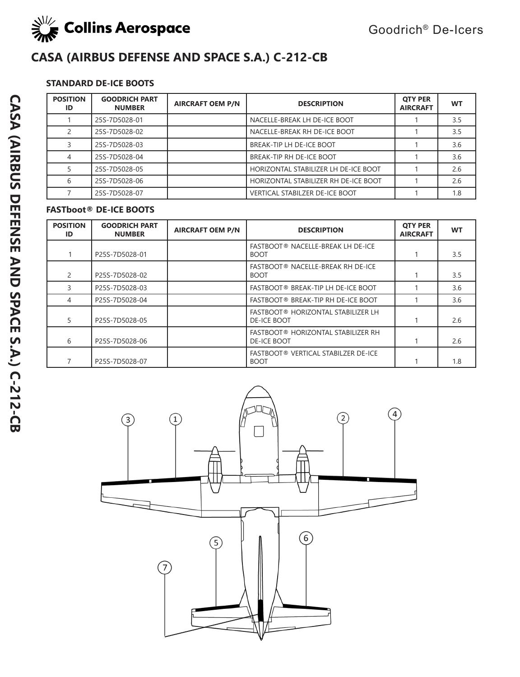

## **STANDARD DE-ICE BOOTS**

| <b>POSITION</b><br>ID | <b>GOODRICH PART</b><br><b>NUMBER</b> | <b>AIRCRAFT OEM P/N</b> | <b>DESCRIPTION</b>                    | <b>OTY PER</b><br><b>AIRCRAFT</b> | <b>WT</b> |
|-----------------------|---------------------------------------|-------------------------|---------------------------------------|-----------------------------------|-----------|
|                       | 25S-7D5028-01                         |                         | NACELLE-BREAK LH DE-ICE BOOT          |                                   | 3.5       |
|                       | 25S-7D5028-02                         |                         | NACELLE-BREAK RH DE-ICE BOOT          |                                   | 3.5       |
|                       | 25S-7D5028-03                         |                         | BREAK-TIP LH DE-ICE BOOT              |                                   | 3.6       |
| 4                     | 25S-7D5028-04                         |                         | BREAK-TIP RH DE-ICE BOOT              |                                   | 3.6       |
|                       | 25S-7D5028-05                         |                         | HORIZONTAL STABILIZER LH DE-ICE BOOT  |                                   | 2.6       |
| 6                     | 25S-7D5028-06                         |                         | HORIZONTAL STABILIZER RH DE-ICE BOOT  |                                   | 2.6       |
|                       | 25S-7D5028-07                         |                         | <b>VERTICAL STABILZER DE-ICE BOOT</b> |                                   | 1.8       |

## **FASTboot® DE-ICE BOOTS**

| <b>POSITION</b><br>ID | <b>GOODRICH PART</b><br><b>NUMBER</b> | <b>AIRCRAFT OEM P/N</b> | <b>DESCRIPTION</b>                                       | <b>OTY PER</b><br><b>AIRCRAFT</b> | <b>WT</b> |
|-----------------------|---------------------------------------|-------------------------|----------------------------------------------------------|-----------------------------------|-----------|
|                       | P25S-7D5028-01                        |                         | FASTBOOT® NACELLE-BREAK LH DE-ICE<br><b>BOOT</b>         |                                   | 3.5       |
| $\mathcal{P}$         | P25S-7D5028-02                        |                         | FASTBOOT® NACELLE-BREAK RH DE-ICE<br><b>BOOT</b>         |                                   | 3.5       |
|                       | P25S-7D5028-03                        |                         | FASTBOOT® BREAK-TIP LH DE-ICE BOOT                       |                                   | 3.6       |
| 4                     | P25S-7D5028-04                        |                         | FASTBOOT® BREAK-TIP RH DE-ICE BOOT                       |                                   | 3.6       |
| 5                     | P25S-7D5028-05                        |                         | FASTBOOT® HORIZONTAL STABILIZER LH<br><b>DE-ICE BOOT</b> |                                   | 2.6       |
| 6                     | P25S-7D5028-06                        |                         | FASTBOOT® HORIZONTAL STABILIZER RH<br><b>DE-ICE BOOT</b> |                                   | 2.6       |
|                       | P25S-7D5028-07                        |                         | FASTBOOT® VERTICAL STABILZER DE-ICE<br><b>BOOT</b>       |                                   | 1.8       |

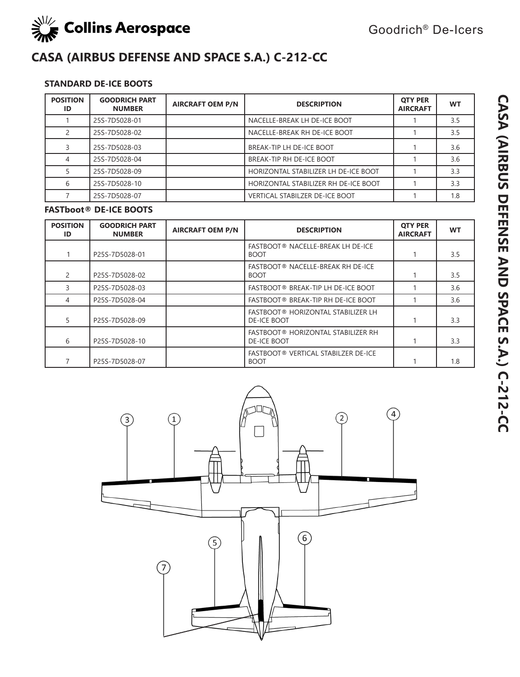

## **STANDARD DE-ICE BOOTS**

| <b>POSITION</b><br>ID | <b>GOODRICH PART</b><br><b>NUMBER</b> | <b>AIRCRAFT OEM P/N</b> | <b>DESCRIPTION</b>                    | <b>OTY PER</b><br><b>AIRCRAFT</b> | <b>WT</b> |
|-----------------------|---------------------------------------|-------------------------|---------------------------------------|-----------------------------------|-----------|
|                       | 25S-7D5028-01                         |                         | NACELLE-BREAK LH DE-ICE BOOT          |                                   | 3.5       |
|                       | 25S-7D5028-02                         |                         | NACELLE-BREAK RH DE-ICE BOOT          |                                   | 3.5       |
|                       | 25S-7D5028-03                         |                         | BREAK-TIP LH DE-ICE BOOT              |                                   | 3.6       |
|                       | 25S-7D5028-04                         |                         | BREAK-TIP RH DE-ICE BOOT              |                                   | 3.6       |
|                       | 25S-7D5028-09                         |                         | HORIZONTAL STABILIZER LH DE-ICE BOOT  |                                   | 3.3       |
|                       | 25S-7D5028-10                         |                         | HORIZONTAL STABILIZER RH DE-ICE BOOT  |                                   | 3.3       |
|                       | 25S-7D5028-07                         |                         | <b>VERTICAL STABILZER DE-ICE BOOT</b> |                                   | 1.8       |

#### **FASTboot® DE-ICE BOOTS**

| <b>POSITION</b><br>ID | <b>GOODRICH PART</b><br><b>NUMBER</b> | <b>AIRCRAFT OEM P/N</b> | <b>DESCRIPTION</b>                                       | <b>OTY PER</b><br><b>AIRCRAFT</b> | <b>WT</b> |
|-----------------------|---------------------------------------|-------------------------|----------------------------------------------------------|-----------------------------------|-----------|
|                       | P25S-7D5028-01                        |                         | FASTBOOT® NACELLE-BREAK LH DE-ICE<br><b>BOOT</b>         |                                   | 3.5       |
| $\mathcal{P}$         | P25S-7D5028-02                        |                         | FASTBOOT® NACELLE-BREAK RH DE-ICE<br><b>BOOT</b>         |                                   | 3.5       |
| 3                     | P25S-7D5028-03                        |                         | FASTBOOT® BREAK-TIP LH DE-ICE BOOT                       |                                   | 3.6       |
| 4                     | P25S-7D5028-04                        |                         | FASTBOOT® BREAK-TIP RH DE-ICE BOOT                       |                                   | 3.6       |
| 5                     | P25S-7D5028-09                        |                         | FASTBOOT® HORIZONTAL STABILIZER LH<br><b>DE-ICE BOOT</b> |                                   | 3.3       |
| 6                     | P25S-7D5028-10                        |                         | FASTBOOT® HORIZONTAL STABILIZER RH<br><b>DE-ICE BOOT</b> |                                   | 3.3       |
|                       | P25S-7D5028-07                        |                         | FASTBOOT® VERTICAL STABILZER DE-ICE<br><b>BOOT</b>       |                                   | 1.8       |

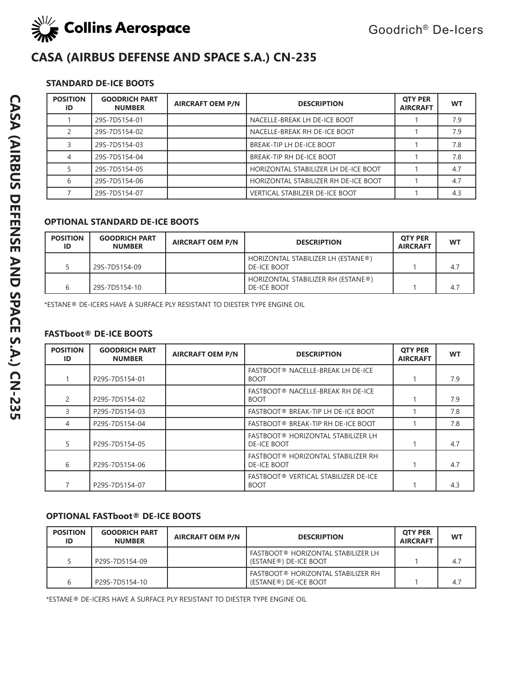

### **STANDARD DE-ICE BOOTS**

| <b>POSITION</b><br>ID | <b>GOODRICH PART</b><br><b>NUMBER</b> | <b>AIRCRAFT OEM P/N</b> | <b>DESCRIPTION</b>                    | <b>OTY PER</b><br><b>AIRCRAFT</b> | <b>WT</b> |
|-----------------------|---------------------------------------|-------------------------|---------------------------------------|-----------------------------------|-----------|
|                       | 29S-7D5154-01                         |                         | NACELLE-BREAK LH DE-ICE BOOT          |                                   | 7.9       |
|                       | 29S-7D5154-02                         |                         | NACELLE-BREAK RH DE-ICE BOOT          |                                   | 7.9       |
|                       | 29S-7D5154-03                         |                         | BREAK-TIP LH DE-ICE BOOT              |                                   | 7.8       |
| 4                     | 29S-7D5154-04                         |                         | BREAK-TIP RH DE-ICE BOOT              |                                   | 7.8       |
|                       | 29S-7D5154-05                         |                         | HORIZONTAL STABILIZER LH DE-ICE BOOT  |                                   | 4.7       |
| 6                     | 29S-7D5154-06                         |                         | HORIZONTAL STABILIZER RH DE-ICE BOOT  |                                   | 4.7       |
|                       | 29S-7D5154-07                         |                         | <b>VERTICAL STABILZER DE-ICE BOOT</b> |                                   | 4.3       |

### **OPTIONAL STANDARD DE-ICE BOOTS**

| <b>POSITION</b><br>ID | <b>GOODRICH PART</b><br><b>NUMBER</b> | <b>AIRCRAFT OEM P/N</b> | <b>DESCRIPTION</b>                                       | <b>OTY PER</b><br><b>AIRCRAFT</b> | <b>WT</b> |
|-----------------------|---------------------------------------|-------------------------|----------------------------------------------------------|-----------------------------------|-----------|
|                       | 29S-7D5154-09                         |                         | HORIZONTAL STABILIZER LH (ESTANE®)<br><b>DE-ICE BOOT</b> |                                   | 4.7       |
|                       | 29S-7D5154-10                         |                         | HORIZONTAL STABILIZER RH (ESTANE®)<br><b>DE-ICE BOOT</b> |                                   | 4.7       |

\*ESTANE® DE-ICERS HAVE A SURFACE PLY RESISTANT TO DIESTER TYPE ENGINE OIL

## **FASTboot® DE-ICE BOOTS**

| <b>POSITION</b><br>ID | <b>GOODRICH PART</b><br><b>NUMBER</b> | <b>AIRCRAFT OEM P/N</b> | <b>DESCRIPTION</b>                                       | <b>OTY PER</b><br><b>AIRCRAFT</b> | <b>WT</b> |
|-----------------------|---------------------------------------|-------------------------|----------------------------------------------------------|-----------------------------------|-----------|
|                       | P29S-7D5154-01                        |                         | FASTBOOT® NACELLE-BREAK LH DE-ICE<br><b>BOOT</b>         |                                   | 7.9       |
|                       | P29S-7D5154-02                        |                         | FASTBOOT® NACELLE-BREAK RH DE-ICE<br><b>BOOT</b>         |                                   | 7.9       |
|                       | P29S-7D5154-03                        |                         | FASTBOOT® BREAK-TIP LH DE-ICE BOOT                       |                                   | 7.8       |
| 4                     | P29S-7D5154-04                        |                         | FASTBOOT® BREAK-TIP RH DE-ICE BOOT                       |                                   | 7.8       |
| 5.                    | P29S-7D5154-05                        |                         | FASTBOOT® HORIZONTAL STABILIZER LH<br><b>DE-ICE BOOT</b> |                                   | 4.7       |
| 6                     | P29S-7D5154-06                        |                         | FASTBOOT® HORIZONTAL STABILIZER RH<br><b>DE-ICE BOOT</b> |                                   | 4.7       |
|                       | P29S-7D5154-07                        |                         | FASTBOOT® VERTICAL STABILIZER DE-ICE<br><b>BOOT</b>      |                                   | 4.3       |

### **OPTIONAL FASTboot® DE-ICE BOOTS**

| <b>POSITION</b><br>ID | <b>GOODRICH PART</b><br><b>NUMBER</b> | <b>AIRCRAFT OEM P/N</b> | <b>DESCRIPTION</b>                                          | <b>OTY PER</b><br><b>AIRCRAFT</b> | WТ  |
|-----------------------|---------------------------------------|-------------------------|-------------------------------------------------------------|-----------------------------------|-----|
|                       | P29S-7D5154-09                        |                         | FASTBOOT® HORIZONTAL STABILIZER LH<br>(ESTANE®) DE-ICE BOOT |                                   | 4.7 |
|                       | P29S-7D5154-10                        |                         | FASTBOOT® HORIZONTAL STABILIZER RH<br>(ESTANE®) DE-ICE BOOT |                                   | 4.7 |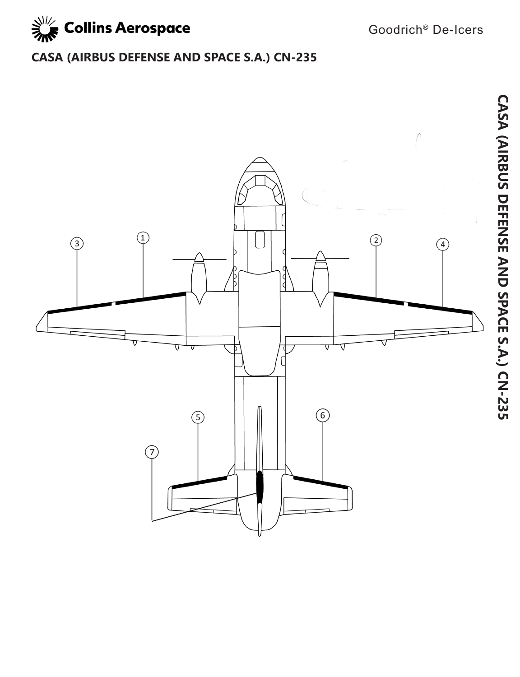

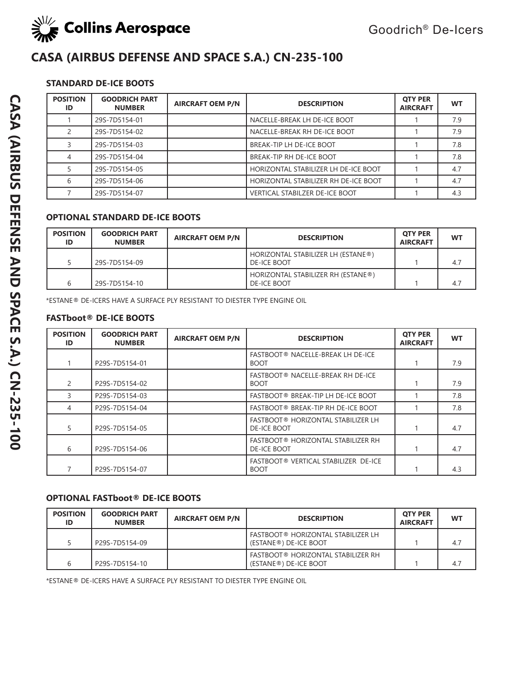

### **STANDARD DE-ICE BOOTS**

| <b>POSITION</b><br>ID | <b>GOODRICH PART</b><br><b>NUMBER</b> | <b>AIRCRAFT OEM P/N</b> | <b>DESCRIPTION</b>                    | <b>OTY PER</b><br><b>AIRCRAFT</b> | <b>WT</b> |
|-----------------------|---------------------------------------|-------------------------|---------------------------------------|-----------------------------------|-----------|
|                       | 29S-7D5154-01                         |                         | NACELLE-BREAK LH DE-ICE BOOT          |                                   | 7.9       |
|                       | 29S-7D5154-02                         |                         | NACELLE-BREAK RH DE-ICE BOOT          |                                   | 7.9       |
|                       | 29S-7D5154-03                         |                         | BREAK-TIP LH DE-ICE BOOT              |                                   | 7.8       |
| 4                     | 29S-7D5154-04                         |                         | BREAK-TIP RH DE-ICE BOOT              |                                   | 7.8       |
|                       | 29S-7D5154-05                         |                         | HORIZONTAL STABILIZER LH DE-ICE BOOT  |                                   | 4.7       |
| 6                     | 29S-7D5154-06                         |                         | HORIZONTAL STABILIZER RH DE-ICE BOOT  |                                   | 4.7       |
|                       | 29S-7D5154-07                         |                         | <b>VERTICAL STABILZER DE-ICE BOOT</b> |                                   | 4.3       |

### **OPTIONAL STANDARD DE-ICE BOOTS**

| <b>POSITION</b><br>ID | <b>GOODRICH PART</b><br><b>NUMBER</b> | <b>AIRCRAFT OEM P/N</b> | <b>DESCRIPTION</b>                                       | <b>OTY PER</b><br><b>AIRCRAFT</b> | <b>WT</b> |
|-----------------------|---------------------------------------|-------------------------|----------------------------------------------------------|-----------------------------------|-----------|
|                       | 29S-7D5154-09                         |                         | HORIZONTAL STABILIZER LH (ESTANE®)<br><b>DE-ICE BOOT</b> |                                   | 4.7       |
|                       | 29S-7D5154-10                         |                         | HORIZONTAL STABILIZER RH (ESTANE®)<br><b>DE-ICE BOOT</b> |                                   | 4.7       |

\*ESTANE® DE-ICERS HAVE A SURFACE PLY RESISTANT TO DIESTER TYPE ENGINE OIL

#### **FASTboot® DE-ICE BOOTS**

| <b>POSITION</b><br>ID | <b>GOODRICH PART</b><br><b>NUMBER</b> | <b>AIRCRAFT OEM P/N</b> | <b>DESCRIPTION</b>                                       | <b>OTY PER</b><br><b>AIRCRAFT</b> | <b>WT</b> |
|-----------------------|---------------------------------------|-------------------------|----------------------------------------------------------|-----------------------------------|-----------|
|                       | P29S-7D5154-01                        |                         | FASTBOOT® NACELLE-BREAK LH DE-ICE<br><b>BOOT</b>         |                                   | 7.9       |
|                       | P29S-7D5154-02                        |                         | FASTBOOT® NACELLE-BREAK RH DE-ICE<br><b>BOOT</b>         |                                   | 7.9       |
|                       | P29S-7D5154-03                        |                         | FASTBOOT® BREAK-TIP LH DE-ICE BOOT                       |                                   | 7.8       |
| 4                     | P29S-7D5154-04                        |                         | FASTBOOT® BREAK-TIP RH DE-ICE BOOT                       |                                   | 7.8       |
|                       | P29S-7D5154-05                        |                         | FASTBOOT® HORIZONTAL STABILIZER LH<br><b>DE-ICE BOOT</b> |                                   | 4.7       |
| 6                     | P29S-7D5154-06                        |                         | FASTBOOT® HORIZONTAL STABILIZER RH<br><b>DE-ICE BOOT</b> |                                   | 4.7       |
|                       | P29S-7D5154-07                        |                         | FASTBOOT® VERTICAL STABILIZER DE-ICE<br><b>BOOT</b>      |                                   | 4.3       |

#### **OPTIONAL FASTboot® DE-ICE BOOTS**

| <b>POSITION</b><br>ID | <b>GOODRICH PART</b><br><b>NUMBER</b> | <b>AIRCRAFT OEM P/N</b> | <b>DESCRIPTION</b>                                            | <b>OTY PER</b><br><b>AIRCRAFT</b> | <b>WT</b> |
|-----------------------|---------------------------------------|-------------------------|---------------------------------------------------------------|-----------------------------------|-----------|
|                       | P29S-7D5154-09                        |                         | FASTBOOT® HORIZONTAL STABILIZER LH<br>(ESTANE®) DE-ICE BOOT   |                                   | 4.7       |
|                       | P29S-7D5154-10                        |                         | ! FASTBOOT® HORIZONTAL STABILIZER RH<br>(ESTANE®) DE-ICE BOOT |                                   | 4.7       |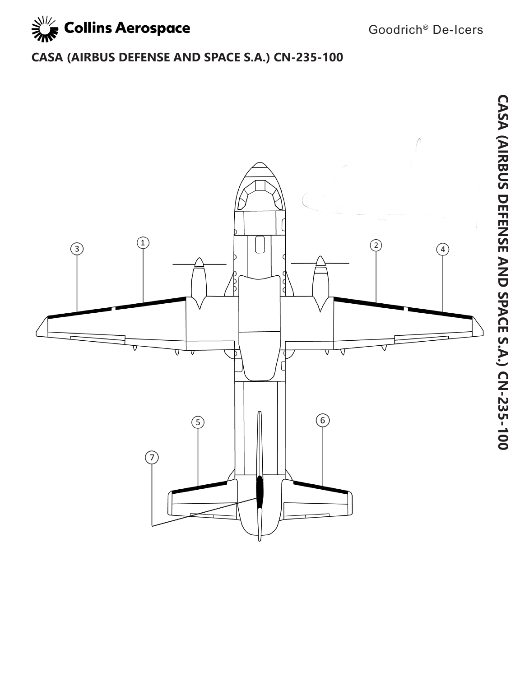

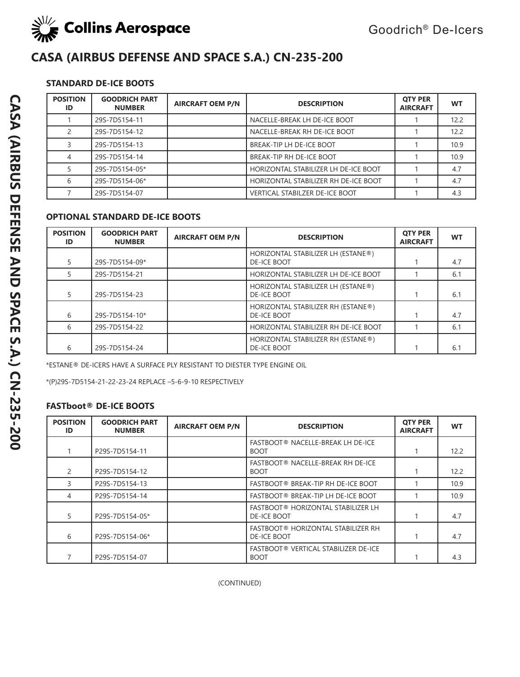

## **STANDARD DE-ICE BOOTS**

| <b>POSITION</b><br>ID | <b>GOODRICH PART</b><br><b>NUMBER</b> | <b>AIRCRAFT OEM P/N</b> | <b>DESCRIPTION</b>                   | <b>OTY PER</b><br><b>AIRCRAFT</b> | <b>WT</b> |
|-----------------------|---------------------------------------|-------------------------|--------------------------------------|-----------------------------------|-----------|
|                       | 29S-7D5154-11                         |                         | NACELLE-BREAK LH DE-ICE BOOT         |                                   | 12.2      |
|                       | 29S-7D5154-12                         |                         | NACELLE-BREAK RH DE-ICE BOOT         |                                   | 12.2      |
|                       | 29S-7D5154-13                         |                         | BREAK-TIP LH DE-ICE BOOT             |                                   | 10.9      |
| 4                     | 29S-7D5154-14                         |                         | BREAK-TIP RH DE-ICE BOOT             |                                   | 10.9      |
|                       | 29S-7D5154-05*                        |                         | HORIZONTAL STABILIZER LH DE-ICE BOOT |                                   | 4.7       |
| 6                     | 29S-7D5154-06*                        |                         | HORIZONTAL STABILIZER RH DE-ICE BOOT |                                   | 4.7       |
|                       | 29S-7D5154-07                         |                         | VERTICAL STABILZER DE-ICE BOOT       |                                   | 4.3       |

#### **OPTIONAL STANDARD DE-ICE BOOTS**

| <b>POSITION</b><br>ID | <b>GOODRICH PART</b><br><b>NUMBER</b> | <b>AIRCRAFT OEM P/N</b> | <b>DESCRIPTION</b>                                       | <b>OTY PER</b><br><b>AIRCRAFT</b> | <b>WT</b> |
|-----------------------|---------------------------------------|-------------------------|----------------------------------------------------------|-----------------------------------|-----------|
|                       | 29S-7D5154-09*                        |                         | HORIZONTAL STABILIZER LH (ESTANE®)<br><b>DE-ICE BOOT</b> |                                   | 4.7       |
|                       | 29S-7D5154-21                         |                         | HORIZONTAL STABILIZER LH DE-ICE BOOT                     |                                   | 6.1       |
|                       | 29S-7D5154-23                         |                         | HORIZONTAL STABILIZER LH (ESTANE®)<br><b>DE-ICE BOOT</b> |                                   | 6.1       |
| 6                     | 29S-7D5154-10*                        |                         | HORIZONTAL STABILIZER RH (ESTANE®)<br><b>DE-ICE BOOT</b> |                                   | 4.7       |
| 6                     | 29S-7D5154-22                         |                         | HORIZONTAL STABILIZER RH DE-ICE BOOT                     |                                   | 6.1       |
| 6                     | 29S-7D5154-24                         |                         | HORIZONTAL STABILIZER RH (ESTANE®)<br><b>DE-ICE BOOT</b> |                                   | 6.1       |

\*ESTANE® DE-ICERS HAVE A SURFACE PLY RESISTANT TO DIESTER TYPE ENGINE OIL

\*(P)29S-7D5154-21-22-23-24 REPLACE –5-6-9-10 RESPECTIVELY

#### **FASTboot® DE-ICE BOOTS**

| <b>POSITION</b><br>ID | <b>GOODRICH PART</b><br><b>NUMBER</b> | <b>AIRCRAFT OEM P/N</b> | <b>DESCRIPTION</b>                                       | <b>OTY PER</b><br><b>AIRCRAFT</b> | <b>WT</b> |
|-----------------------|---------------------------------------|-------------------------|----------------------------------------------------------|-----------------------------------|-----------|
|                       | P29S-7D5154-11                        |                         | FASTBOOT® NACELLE-BREAK LH DE-ICE<br><b>BOOT</b>         |                                   | 12.2      |
| $\mathcal{P}$         | P29S-7D5154-12                        |                         | FASTBOOT® NACELLE-BREAK RH DE-ICE<br><b>BOOT</b>         |                                   | 12.2      |
|                       | P29S-7D5154-13                        |                         | FASTBOOT® BREAK-TIP RH DE-ICE BOOT                       |                                   | 10.9      |
|                       | P29S-7D5154-14                        |                         | FASTBOOT® BREAK-TIP LH DE-ICE BOOT                       |                                   | 10.9      |
| 5.                    | P29S-7D5154-05*                       |                         | FASTBOOT® HORIZONTAL STABILIZER LH<br><b>DE-ICE BOOT</b> |                                   | 4.7       |
| 6                     | P29S-7D5154-06*                       |                         | FASTBOOT® HORIZONTAL STABILIZER RH<br><b>DE-ICE BOOT</b> |                                   | 4.7       |
|                       | P29S-7D5154-07                        |                         | FASTBOOT® VERTICAL STABILIZER DE-ICE<br><b>BOOT</b>      |                                   | 4.3       |

(CONTINUED)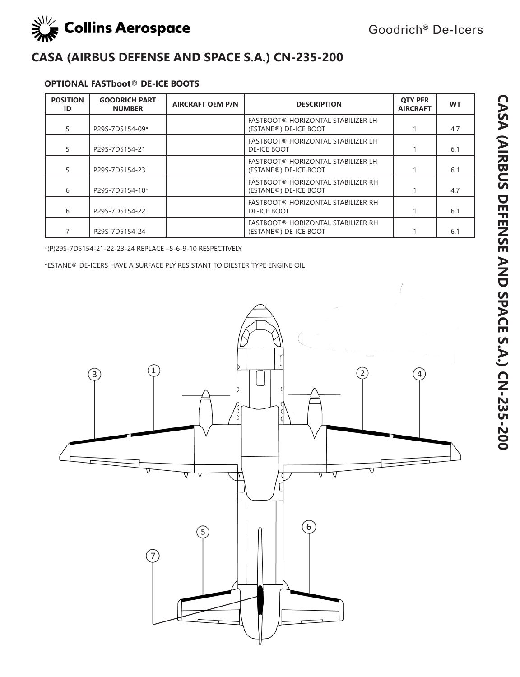

### **OPTIONAL FASTboot® DE-ICE BOOTS**

| <b>POSITION</b><br>ID | <b>GOODRICH PART</b><br><b>NUMBER</b> | <b>AIRCRAFT OEM P/N</b> | <b>DESCRIPTION</b>                                          | <b>OTY PER</b><br><b>AIRCRAFT</b> | <b>WT</b> |
|-----------------------|---------------------------------------|-------------------------|-------------------------------------------------------------|-----------------------------------|-----------|
|                       | P29S-7D5154-09*                       |                         | FASTBOOT® HORIZONTAL STABILIZER LH<br>(ESTANE®) DE-ICE BOOT |                                   | 4.7       |
|                       | P29S-7D5154-21                        |                         | FASTBOOT® HORIZONTAL STABILIZER LH<br><b>DE-ICE BOOT</b>    |                                   | 6.1       |
| 5                     | P29S-7D5154-23                        |                         | FASTBOOT® HORIZONTAL STABILIZER LH<br>(ESTANE®) DE-ICE BOOT |                                   | 6.1       |
| 6                     | P29S-7D5154-10*                       |                         | FASTBOOT® HORIZONTAL STABILIZER RH<br>(ESTANE®) DE-ICE BOOT |                                   | 4.7       |
| 6                     | P29S-7D5154-22                        |                         | FASTBOOT® HORIZONTAL STABILIZER RH<br><b>DE-ICE BOOT</b>    |                                   | 6.1       |
|                       | P29S-7D5154-24                        |                         | FASTBOOT® HORIZONTAL STABILIZER RH<br>(ESTANE®) DE-ICE BOOT |                                   | 6.1       |

\*(P)29S-7D5154-21-22-23-24 REPLACE –5-6-9-10 RESPECTIVELY

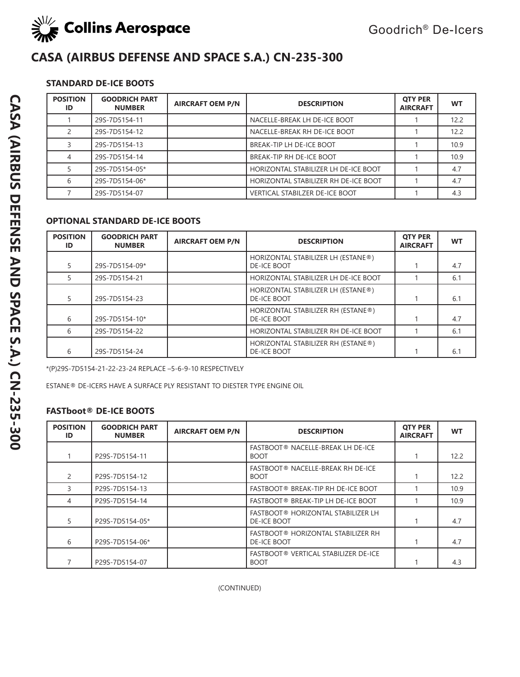

## **STANDARD DE-ICE BOOTS**

| <b>POSITION</b><br>ID | <b>GOODRICH PART</b><br><b>NUMBER</b> | <b>AIRCRAFT OEM P/N</b> | <b>DESCRIPTION</b>                    | <b>OTY PER</b><br><b>AIRCRAFT</b> | <b>WT</b> |
|-----------------------|---------------------------------------|-------------------------|---------------------------------------|-----------------------------------|-----------|
|                       | 29S-7D5154-11                         |                         | NACELLE-BREAK LH DE-ICE BOOT          |                                   | 12.2      |
|                       | 29S-7D5154-12                         |                         | NACELLE-BREAK RH DE-ICE BOOT          |                                   | 12.2      |
|                       | 29S-7D5154-13                         |                         | BREAK-TIP LH DE-ICE BOOT              |                                   | 10.9      |
|                       | 29S-7D5154-14                         |                         | BREAK-TIP RH DE-ICE BOOT              |                                   | 10.9      |
|                       | 29S-7D5154-05*                        |                         | HORIZONTAL STABILIZER LH DE-ICE BOOT  |                                   | 4.7       |
| 6                     | 29S-7D5154-06*                        |                         | HORIZONTAL STABILIZER RH DE-ICE BOOT  |                                   | 4.7       |
|                       | 29S-7D5154-07                         |                         | <b>VERTICAL STABILZER DE-ICE BOOT</b> |                                   | 4.3       |

## **OPTIONAL STANDARD DE-ICE BOOTS**

| <b>POSITION</b><br>ID | <b>GOODRICH PART</b><br><b>NUMBER</b> | <b>AIRCRAFT OEM P/N</b> | <b>DESCRIPTION</b>                                       | <b>OTY PER</b><br><b>AIRCRAFT</b> | <b>WT</b> |
|-----------------------|---------------------------------------|-------------------------|----------------------------------------------------------|-----------------------------------|-----------|
|                       | 29S-7D5154-09*                        |                         | HORIZONTAL STABILIZER LH (ESTANE®)<br><b>DE-ICE BOOT</b> |                                   | 4.7       |
|                       | 29S-7D5154-21                         |                         | HORIZONTAL STABILIZER LH DE-ICE BOOT                     |                                   | 6.1       |
|                       | 29S-7D5154-23                         |                         | HORIZONTAL STABILIZER LH (ESTANE®)<br><b>DE-ICE BOOT</b> |                                   | 6.1       |
| 6                     | 29S-7D5154-10*                        |                         | HORIZONTAL STABILIZER RH (ESTANE®)<br>DE-ICE BOOT        |                                   | 4.7       |
| 6                     | 29S-7D5154-22                         |                         | HORIZONTAL STABILIZER RH DE-ICE BOOT                     |                                   | 6.1       |
| 6                     | 29S-7D5154-24                         |                         | HORIZONTAL STABILIZER RH (ESTANE®)<br><b>DE-ICE BOOT</b> |                                   | 6.1       |

\*(P)29S-7D5154-21-22-23-24 REPLACE –5-6-9-10 RESPECTIVELY

ESTANE® DE-ICERS HAVE A SURFACE PLY RESISTANT TO DIESTER TYPE ENGINE OIL

### **FASTboot® DE-ICE BOOTS**

| <b>POSITION</b><br>ID | <b>GOODRICH PART</b><br><b>NUMBER</b> | <b>AIRCRAFT OEM P/N</b> | <b>DESCRIPTION</b>                                       | <b>OTY PER</b><br><b>AIRCRAFT</b> | <b>WT</b> |
|-----------------------|---------------------------------------|-------------------------|----------------------------------------------------------|-----------------------------------|-----------|
|                       | P29S-7D5154-11                        |                         | FASTBOOT® NACELLE-BREAK LH DE-ICE<br><b>BOOT</b>         |                                   | 12.2      |
| 2                     | P29S-7D5154-12                        |                         | FASTBOOT® NACELLE-BREAK RH DE-ICE<br><b>BOOT</b>         |                                   | 12.2      |
|                       | P29S-7D5154-13                        |                         | FASTBOOT® BREAK-TIP RH DE-ICE BOOT                       |                                   | 10.9      |
| 4                     | P29S-7D5154-14                        |                         | FASTBOOT® BREAK-TIP LH DE-ICE BOOT                       |                                   | 10.9      |
| 5                     | P29S-7D5154-05*                       |                         | FASTBOOT® HORIZONTAL STABILIZER LH<br><b>DE-ICE BOOT</b> |                                   | 4.7       |
| 6                     | P29S-7D5154-06*                       |                         | FASTBOOT® HORIZONTAL STABILIZER RH<br><b>DE-ICE BOOT</b> |                                   | 4.7       |
|                       | P29S-7D5154-07                        |                         | FASTBOOT® VERTICAL STABILIZER DE-ICE<br><b>BOOT</b>      |                                   | 4.3       |

(CONTINUED)